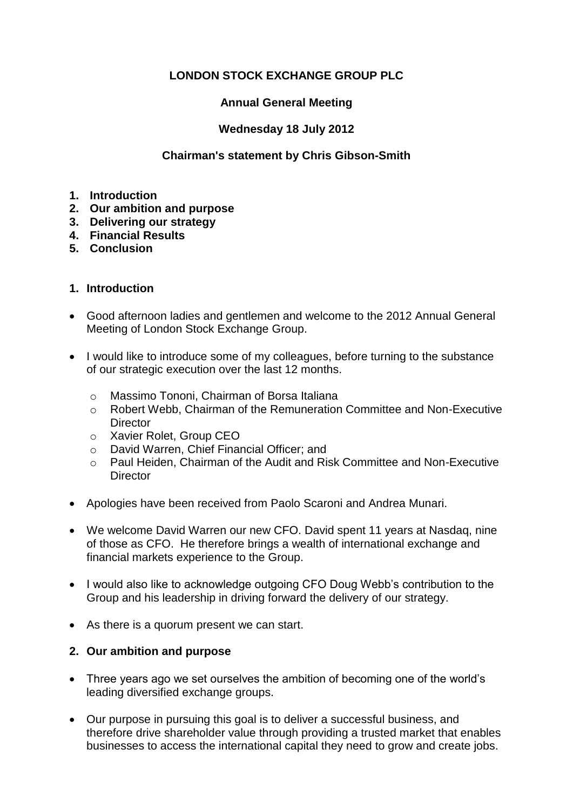## **LONDON STOCK EXCHANGE GROUP PLC**

## **Annual General Meeting**

## **Wednesday 18 July 2012**

## **Chairman's statement by Chris Gibson-Smith**

- **1. Introduction**
- **2. Our ambition and purpose**
- **3. Delivering our strategy**
- **4. Financial Results**
- **5. Conclusion**

## **1. Introduction**

- Good afternoon ladies and gentlemen and welcome to the 2012 Annual General Meeting of London Stock Exchange Group.
- I would like to introduce some of my colleagues, before turning to the substance of our strategic execution over the last 12 months.
	- o Massimo Tononi, Chairman of Borsa Italiana
	- o Robert Webb, Chairman of the Remuneration Committee and Non-Executive **Director**
	- o Xavier Rolet, Group CEO
	- o David Warren, Chief Financial Officer; and
	- o Paul Heiden, Chairman of the Audit and Risk Committee and Non-Executive **Director**
- Apologies have been received from Paolo Scaroni and Andrea Munari.
- We welcome David Warren our new CFO. David spent 11 years at Nasdaq, nine of those as CFO. He therefore brings a wealth of international exchange and financial markets experience to the Group.
- I would also like to acknowledge outgoing CFO Doug Webb's contribution to the Group and his leadership in driving forward the delivery of our strategy.
- As there is a quorum present we can start.

#### **2. Our ambition and purpose**

- Three years ago we set ourselves the ambition of becoming one of the world's leading diversified exchange groups.
- Our purpose in pursuing this goal is to deliver a successful business, and therefore drive shareholder value through providing a trusted market that enables businesses to access the international capital they need to grow and create jobs.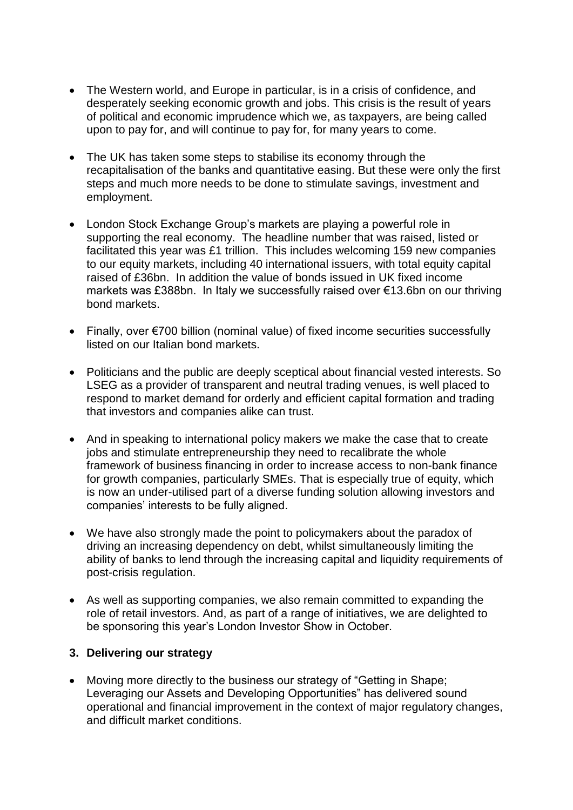- The Western world, and Europe in particular, is in a crisis of confidence, and desperately seeking economic growth and jobs. This crisis is the result of years of political and economic imprudence which we, as taxpayers, are being called upon to pay for, and will continue to pay for, for many years to come.
- The UK has taken some steps to stabilise its economy through the recapitalisation of the banks and quantitative easing. But these were only the first steps and much more needs to be done to stimulate savings, investment and employment.
- London Stock Exchange Group's markets are playing a powerful role in supporting the real economy. The headline number that was raised, listed or facilitated this year was £1 trillion. This includes welcoming 159 new companies to our equity markets, including 40 international issuers, with total equity capital raised of £36bn. In addition the value of bonds issued in UK fixed income markets was £388bn. In Italy we successfully raised over €13.6bn on our thriving bond markets.
- Finally, over €700 billion (nominal value) of fixed income securities successfully listed on our Italian bond markets.
- Politicians and the public are deeply sceptical about financial vested interests. So LSEG as a provider of transparent and neutral trading venues, is well placed to respond to market demand for orderly and efficient capital formation and trading that investors and companies alike can trust.
- And in speaking to international policy makers we make the case that to create jobs and stimulate entrepreneurship they need to recalibrate the whole framework of business financing in order to increase access to non-bank finance for growth companies, particularly SMEs. That is especially true of equity, which is now an under-utilised part of a diverse funding solution allowing investors and companies' interests to be fully aligned.
- We have also strongly made the point to policymakers about the paradox of driving an increasing dependency on debt, whilst simultaneously limiting the ability of banks to lend through the increasing capital and liquidity requirements of post-crisis regulation.
- As well as supporting companies, we also remain committed to expanding the role of retail investors. And, as part of a range of initiatives, we are delighted to be sponsoring this year's London Investor Show in October.

#### **3. Delivering our strategy**

 Moving more directly to the business our strategy of "Getting in Shape; Leveraging our Assets and Developing Opportunities" has delivered sound operational and financial improvement in the context of major regulatory changes, and difficult market conditions.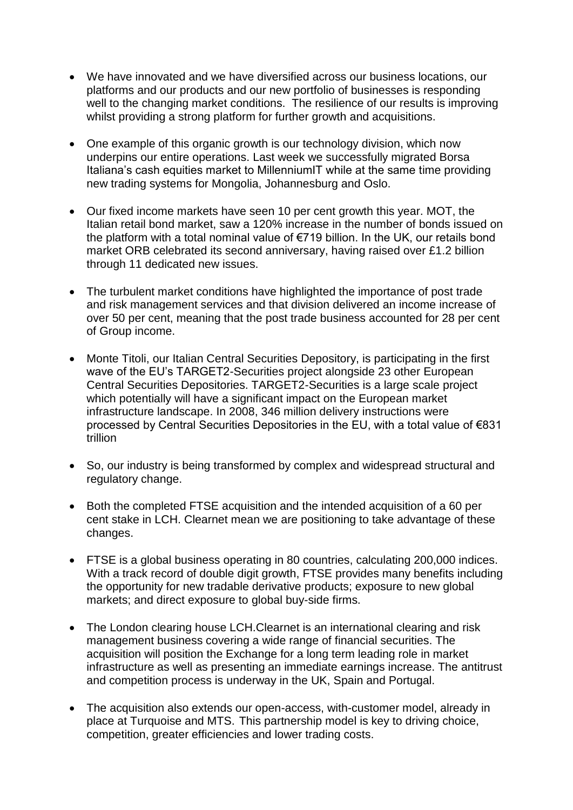- We have innovated and we have diversified across our business locations, our platforms and our products and our new portfolio of businesses is responding well to the changing market conditions. The resilience of our results is improving whilst providing a strong platform for further growth and acquisitions.
- One example of this organic growth is our technology division, which now underpins our entire operations. Last week we successfully migrated Borsa Italiana's cash equities market to MillenniumIT while at the same time providing new trading systems for Mongolia, Johannesburg and Oslo.
- Our fixed income markets have seen 10 per cent growth this year. MOT, the Italian retail bond market, saw a 120% increase in the number of bonds issued on the platform with a total nominal value of €719 billion. In the UK, our retails bond market ORB celebrated its second anniversary, having raised over £1.2 billion through 11 dedicated new issues.
- The turbulent market conditions have highlighted the importance of post trade and risk management services and that division delivered an income increase of over 50 per cent, meaning that the post trade business accounted for 28 per cent of Group income.
- Monte Titoli, our Italian Central Securities Depository, is participating in the first wave of the EU's TARGET2-Securities project alongside 23 other European Central Securities Depositories. TARGET2-Securities is a large scale project which potentially will have a significant impact on the European market infrastructure landscape. In 2008, 346 million delivery instructions were processed by Central Securities Depositories in the EU, with a total value of €831 trillion
- So, our industry is being transformed by complex and widespread structural and regulatory change.
- Both the completed FTSE acquisition and the intended acquisition of a 60 per cent stake in LCH. Clearnet mean we are positioning to take advantage of these changes.
- FTSE is a global business operating in 80 countries, calculating 200,000 indices. With a track record of double digit growth, FTSE provides many benefits including the opportunity for new tradable derivative products; exposure to new global markets; and direct exposure to global buy-side firms.
- The London clearing house LCH.Clearnet is an international clearing and risk management business covering a wide range of financial securities. The acquisition will position the Exchange for a long term leading role in market infrastructure as well as presenting an immediate earnings increase. The antitrust and competition process is underway in the UK, Spain and Portugal.
- The acquisition also extends our open-access, with-customer model, already in place at Turquoise and MTS. This partnership model is key to driving choice, competition, greater efficiencies and lower trading costs.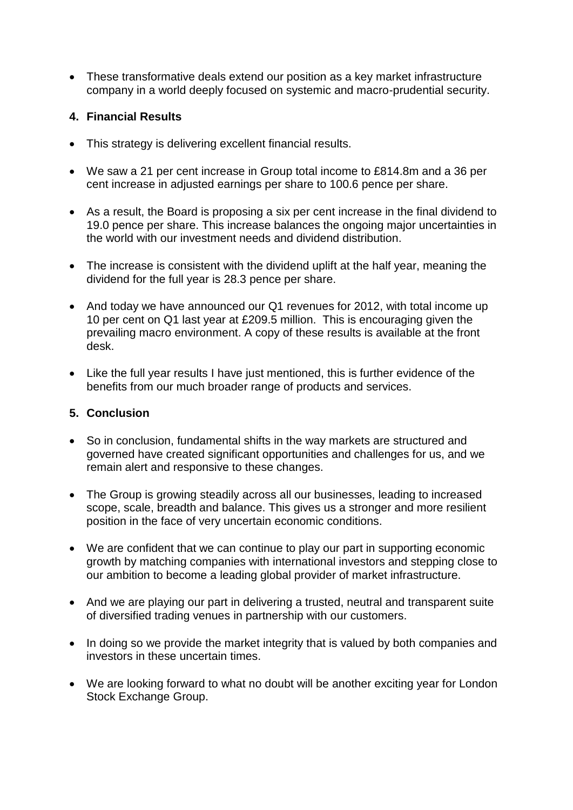These transformative deals extend our position as a key market infrastructure company in a world deeply focused on systemic and macro-prudential security.

## **4. Financial Results**

- This strategy is delivering excellent financial results.
- We saw a 21 per cent increase in Group total income to £814.8m and a 36 per cent increase in adjusted earnings per share to 100.6 pence per share.
- As a result, the Board is proposing a six per cent increase in the final dividend to 19.0 pence per share. This increase balances the ongoing major uncertainties in the world with our investment needs and dividend distribution.
- The increase is consistent with the dividend uplift at the half year, meaning the dividend for the full year is 28.3 pence per share.
- And today we have announced our Q1 revenues for 2012, with total income up 10 per cent on Q1 last year at £209.5 million. This is encouraging given the prevailing macro environment. A copy of these results is available at the front desk.
- Like the full year results I have just mentioned, this is further evidence of the benefits from our much broader range of products and services.

## **5. Conclusion**

- So in conclusion, fundamental shifts in the way markets are structured and governed have created significant opportunities and challenges for us, and we remain alert and responsive to these changes.
- The Group is growing steadily across all our businesses, leading to increased scope, scale, breadth and balance. This gives us a stronger and more resilient position in the face of very uncertain economic conditions.
- We are confident that we can continue to play our part in supporting economic growth by matching companies with international investors and stepping close to our ambition to become a leading global provider of market infrastructure.
- And we are playing our part in delivering a trusted, neutral and transparent suite of diversified trading venues in partnership with our customers.
- In doing so we provide the market integrity that is valued by both companies and investors in these uncertain times.
- We are looking forward to what no doubt will be another exciting year for London Stock Exchange Group.